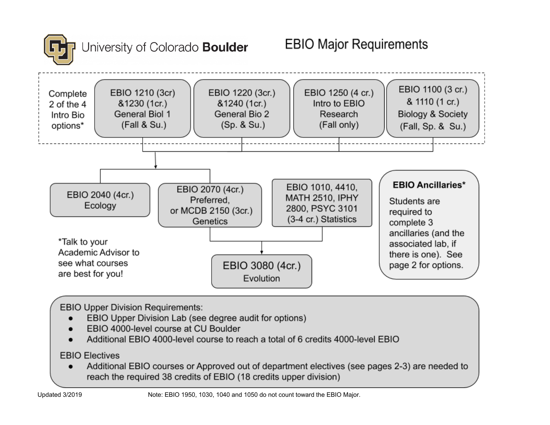

# Jniversity of Colorado **Boulder**



**EBIO Upper Division Requirements:** 

- EBIO Upper Division Lab (see degree audit for options)  $\bullet$
- EBIO 4000-level course at CU Boulder
- Additional EBIO 4000-level course to reach a total of 6 credits 4000-level EBIO

**EBIO Electives** 

Additional EBIO courses or Approved out of department electives (see pages 2-3) are needed to  $\bullet$ reach the required 38 credits of EBIO (18 credits upper division)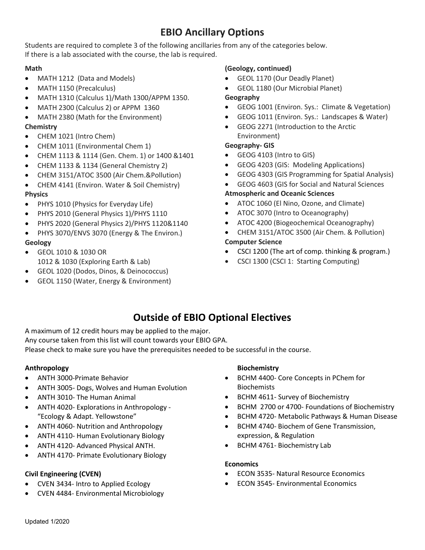# **EBIO Ancillary Options**

Students are required to complete 3 of the following ancillaries from any of the categories below. If there is a lab associated with the course, the lab is required.

## **Math**

- MATH 1212 (Data and Models)
- MATH 1150 (Precalculus)
- MATH 1310 (Calculus 1)/Math 1300/APPM 1350.
- MATH 2300 (Calculus 2) or APPM 1360
- MATH 2380 (Math for the Environment) **Chemistry**
- CHEM 1021 (Intro Chem)
- CHEM 1011 (Environmental Chem 1)
- CHEM 1113 & 1114 (Gen. Chem. 1) or 1400 &1401
- CHEM 1133 & 1134 (General Chemistry 2)
- CHEM 3151/ATOC 3500 (Air Chem.&Pollution)
- CHEM 4141 (Environ. Water & Soil Chemistry) **Physics**
- PHYS 1010 (Physics for Everyday Life)
- PHYS 2010 (General Physics 1)/PHYS 1110
- PHYS 2020 (General Physics 2)/PHYS 1120&1140
- PHYS 3070/ENVS 3070 (Energy & The Environ.) **Geology**
- GEOL 1010 & 1030 OR 1012 & 1030 (Exploring Earth & Lab)
- GEOL 1020 (Dodos, Dinos, & Deinococcus)
- GEOL 1150 (Water, Energy & Environment)

# **(Geology, continued)**

- GEOL 1170 (Our Deadly Planet)
- GEOL 1180 (Our Microbial Planet)

# **Geography**

- GEOG 1001 (Environ. Sys.: Climate & Vegetation)
- GEOG 1011 (Environ. Sys.: Landscapes & Water)
- GEOG 2271 (Introduction to the Arctic Environment)

# **Geography- GIS**

- GEOG 4103 (Intro to GIS)
- GEOG 4203 (GIS: Modeling Applications)
- GEOG 4303 (GIS Programming for Spatial Analysis)
- GEOG 4603 (GIS for Social and Natural Sciences

# **Atmospheric and Oceanic Sciences**

- ATOC 1060 (El Nino, Ozone, and Climate)
- ATOC 3070 (Intro to Oceanography)
- ATOC 4200 (Biogeochemical Oceanography)
- CHEM 3151/ATOC 3500 (Air Chem. & Pollution)

# **Computer Science**

- CSCI 1200 (The art of comp. thinking & program.)
- CSCI 1300 (CSCI 1: Starting Computing)

# **Outside of EBIO Optional Electives**

A maximum of 12 credit hours may be applied to the major.

Any course taken from this list will count towards your EBIO GPA.

Please check to make sure you have the prerequisites needed to be successful in the course.

# **Anthropology**

- ANTH 3000-Primate Behavior
- ANTH 3005- Dogs, Wolves and Human Evolution
- ANTH 3010- The Human Animal
- ANTH 4020- Explorations in Anthropology "Ecology & Adapt. Yellowstone"
- ANTH 4060- Nutrition and Anthropology
- ANTH 4110- Human Evolutionary Biology
- ANTH 4120- Advanced Physical ANTH.
- ANTH 4170- Primate Evolutionary Biology

# **Civil Engineering (CVEN)**

- CVEN 3434- Intro to Applied Ecology
- CVEN 4484- Environmental Microbiology

## **Biochemistry**

- BCHM 4400- Core Concepts in PChem for **Biochemists**
- BCHM 4611- Survey of Biochemistry
- BCHM 2700 or 4700- Foundations of Biochemistry
- BCHM 4720- Metabolic Pathways & Human Disease
- BCHM 4740- Biochem of Gene Transmission, expression, & Regulation
- BCHM 4761- Biochemistry Lab

## **Economics**

- ECON 3535- Natural Resource Economics
- ECON 3545- Environmental Economics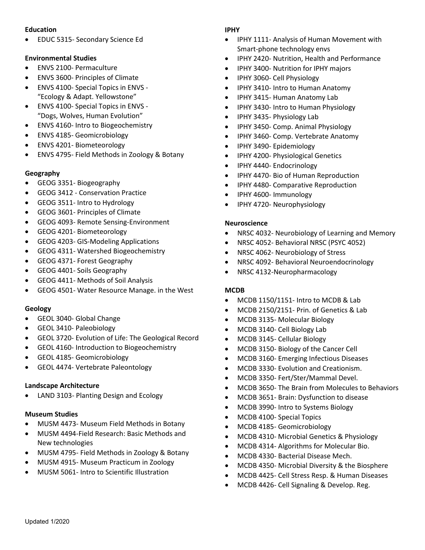## **Education**

• EDUC 5315- Secondary Science Ed

### **Environmental Studies**

- ENVS 2100- Permaculture
- ENVS 3600- Principles of Climate
- ENVS 4100- Special Topics in ENVS "Ecology & Adapt. Yellowstone"
- ENVS 4100- Special Topics in ENVS "Dogs, Wolves, Human Evolution"
- ENVS 4160- Intro to Biogeochemistry
- ENVS 4185- Geomicrobiology
- ENVS 4201- Biometeorology
- ENVS 4795- Field Methods in Zoology & Botany

### **Geography**

- GEOG 3351- Biogeography
- GEOG 3412 Conservation Practice
- GEOG 3511- Intro to Hydrology
- GEOG 3601- Principles of Climate
- GEOG 4093- Remote Sensing-Environment
- GEOG 4201- Biometeorology
- GEOG 4203- GIS-Modeling Applications
- GEOG 4311- Watershed Biogeochemistry
- GEOG 4371- Forest Geography
- GEOG 4401- Soils Geography
- GEOG 4411- Methods of Soil Analysis
- GEOG 4501- Water Resource Manage. in the West

#### **Geology**

- GEOL 3040- Global Change
- GEOL 3410- Paleobiology
- GEOL 3720- Evolution of Life: The Geological Record
- GEOL 4160- Introduction to Biogeochemistry
- GEOL 4185- Geomicrobiology
- GEOL 4474- Vertebrate Paleontology

#### **Landscape Architecture**

• LAND 3103- Planting Design and Ecology

#### **Museum Studies**

- MUSM 4473- Museum Field Methods in Botany
- MUSM 4494-Field Research: Basic Methods and New technologies
- MUSM 4795- Field Methods in Zoology & Botany
- MUSM 4915- Museum Practicum in Zoology
- MUSM 5061- Intro to Scientific Illustration

### **IPHY**

- IPHY 1111- Analysis of Human Movement with Smart-phone technology envs
- IPHY 2420- Nutrition, Health and Performance
- IPHY 3400- Nutrition for IPHY majors
- IPHY 3060- Cell Physiology
- IPHY 3410- Intro to Human Anatomy
- IPHY 3415- Human Anatomy Lab
- IPHY 3430- Intro to Human Physiology
- IPHY 3435- Physiology Lab
- IPHY 3450- Comp. Animal Physiology
- IPHY 3460- Comp. Vertebrate Anatomy
- IPHY 3490- Epidemiology
- IPHY 4200- Physiological Genetics
- IPHY 4440- Endocrinology
- IPHY 4470- Bio of Human Reproduction
- IPHY 4480- Comparative Reproduction
- IPHY 4600- Immunology
- IPHY 4720- Neurophysiology

#### **Neuroscience**

- NRSC 4032- Neurobiology of Learning and Memory
- NRSC 4052- Behavioral NRSC (PSYC 4052)
- NRSC 4062- Neurobiology of Stress
- NRSC 4092- Behavioral Neuroendocrinology
- NRSC 4132-Neuropharmacology

## **MCDB**

- MCDB 1150/1151- Intro to MCDB & Lab
- MCDB 2150/2151- Prin. of Genetics & Lab
- MCDB 3135- Molecular Biology
- MCDB 3140- Cell Biology Lab
- MCDB 3145- Cellular Biology
- MCDB 3150- Biology of the Cancer Cell
- MCDB 3160- Emerging Infectious Diseases
- MCDB 3330- Evolution and Creationism.
- MCDB 3350- Fert/Ster/Mammal Devel.
- MCDB 3650- The Brain from Molecules to Behaviors
- MCDB 3651- Brain: Dysfunction to disease
- MCDB 3990- Intro to Systems Biology
- MCDB 4100- Special Topics
- MCDB 4185- Geomicrobiology
- MCDB 4310- Microbial Genetics & Physiology
- MCDB 4314- Algorithms for Molecular Bio.
- MCDB 4330- Bacterial Disease Mech.
- MCDB 4350- Microbial Diversity & the Biosphere
- MCDB 4425- Cell Stress Resp. & Human Diseases
- MCDB 4426- Cell Signaling & Develop. Reg.